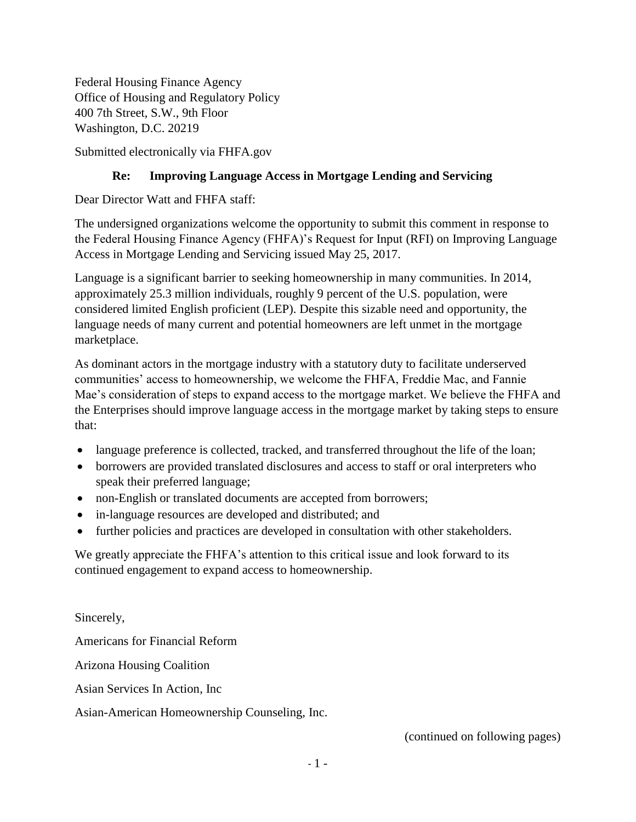Federal Housing Finance Agency Office of Housing and Regulatory Policy 400 7th Street, S.W., 9th Floor Washington, D.C. 20219

Submitted electronically via FHFA.gov

## **Re: Improving Language Access in Mortgage Lending and Servicing**

Dear Director Watt and FHFA staff:

The undersigned organizations welcome the opportunity to submit this comment in response to the Federal Housing Finance Agency (FHFA)'s Request for Input (RFI) on Improving Language Access in Mortgage Lending and Servicing issued May 25, 2017.

Language is a significant barrier to seeking homeownership in many communities. In 2014, approximately 25.3 million individuals, roughly 9 percent of the U.S. population, were considered limited English proficient (LEP). Despite this sizable need and opportunity, the language needs of many current and potential homeowners are left unmet in the mortgage marketplace.

As dominant actors in the mortgage industry with a statutory duty to facilitate underserved communities' access to homeownership, we welcome the FHFA, Freddie Mac, and Fannie Mae's consideration of steps to expand access to the mortgage market. We believe the FHFA and the Enterprises should improve language access in the mortgage market by taking steps to ensure that:

- language preference is collected, tracked, and transferred throughout the life of the loan;
- borrowers are provided translated disclosures and access to staff or oral interpreters who speak their preferred language;
- non-English or translated documents are accepted from borrowers;
- in-language resources are developed and distributed; and
- further policies and practices are developed in consultation with other stakeholders.

We greatly appreciate the FHFA's attention to this critical issue and look forward to its continued engagement to expand access to homeownership.

Sincerely, Americans for Financial Reform Arizona Housing Coalition Asian Services In Action, Inc Asian-American Homeownership Counseling, Inc.

(continued on following pages)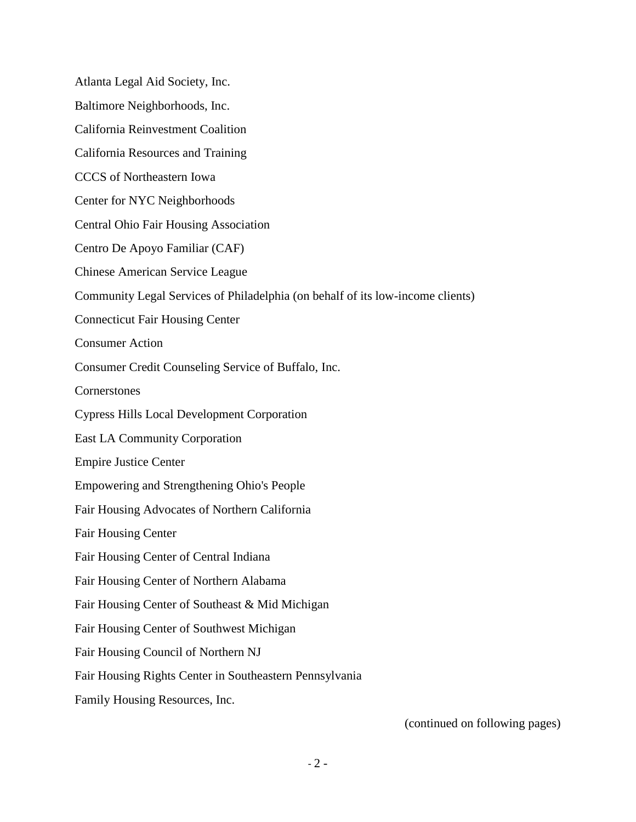Atlanta Legal Aid Society, Inc. Baltimore Neighborhoods, Inc. California Reinvestment Coalition California Resources and Training CCCS of Northeastern Iowa Center for NYC Neighborhoods Central Ohio Fair Housing Association Centro De Apoyo Familiar (CAF) Chinese American Service League Community Legal Services of Philadelphia (on behalf of its low-income clients) Connecticut Fair Housing Center Consumer Action Consumer Credit Counseling Service of Buffalo, Inc. **Cornerstones** Cypress Hills Local Development Corporation East LA Community Corporation Empire Justice Center Empowering and Strengthening Ohio's People Fair Housing Advocates of Northern California Fair Housing Center Fair Housing Center of Central Indiana Fair Housing Center of Northern Alabama Fair Housing Center of Southeast & Mid Michigan Fair Housing Center of Southwest Michigan Fair Housing Council of Northern NJ Fair Housing Rights Center in Southeastern Pennsylvania Family Housing Resources, Inc.

(continued on following pages)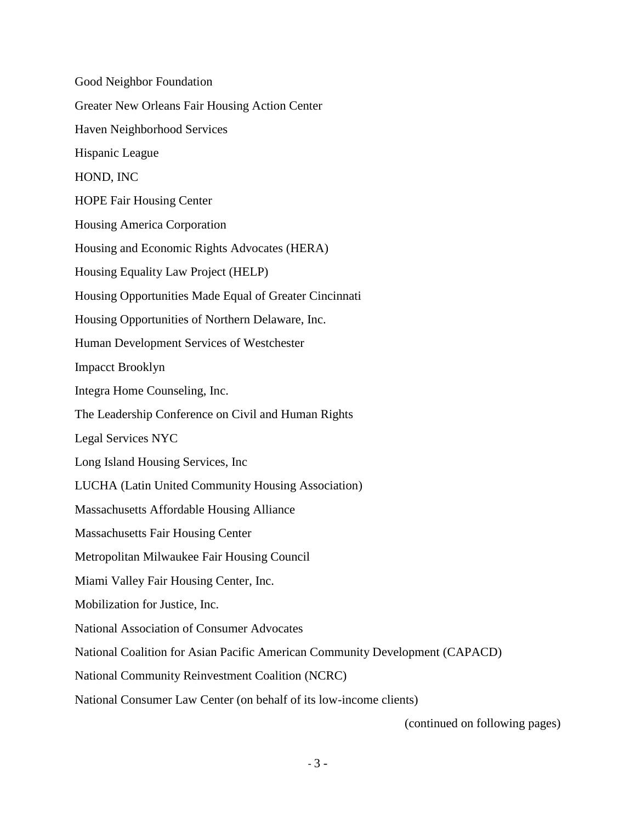Good Neighbor Foundation Greater New Orleans Fair Housing Action Center Haven Neighborhood Services Hispanic League HOND, INC HOPE Fair Housing Center Housing America Corporation Housing and Economic Rights Advocates (HERA) Housing Equality Law Project (HELP) Housing Opportunities Made Equal of Greater Cincinnati Housing Opportunities of Northern Delaware, Inc. Human Development Services of Westchester Impacct Brooklyn Integra Home Counseling, Inc. The Leadership Conference on Civil and Human Rights Legal Services NYC Long Island Housing Services, Inc LUCHA (Latin United Community Housing Association) Massachusetts Affordable Housing Alliance Massachusetts Fair Housing Center Metropolitan Milwaukee Fair Housing Council Miami Valley Fair Housing Center, Inc. Mobilization for Justice, Inc. National Association of Consumer Advocates National Coalition for Asian Pacific American Community Development (CAPACD) National Community Reinvestment Coalition (NCRC) National Consumer Law Center (on behalf of its low-income clients)

(continued on following pages)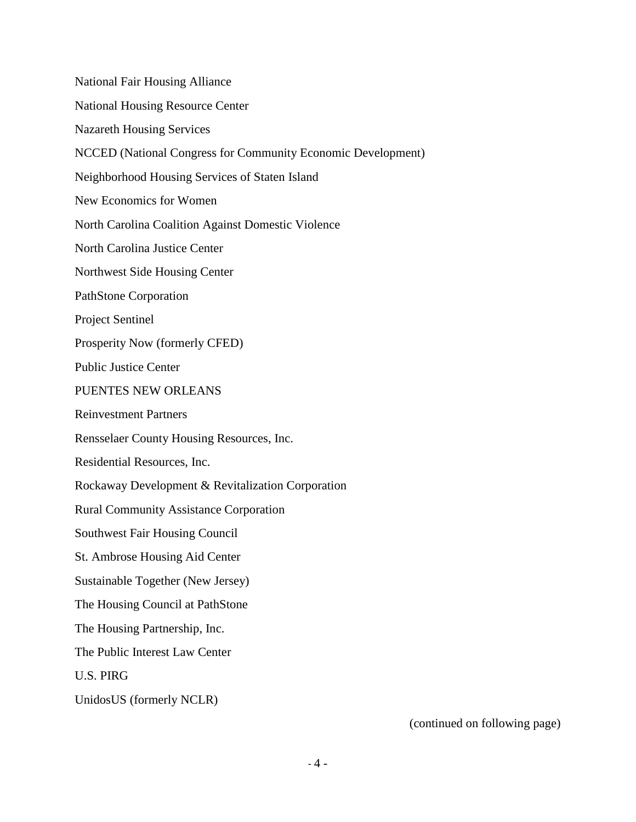National Fair Housing Alliance National Housing Resource Center Nazareth Housing Services NCCED (National Congress for Community Economic Development) Neighborhood Housing Services of Staten Island New Economics for Women North Carolina Coalition Against Domestic Violence North Carolina Justice Center Northwest Side Housing Center PathStone Corporation Project Sentinel Prosperity Now (formerly CFED) Public Justice Center PUENTES NEW ORLEANS Reinvestment Partners Rensselaer County Housing Resources, Inc. Residential Resources, Inc. Rockaway Development & Revitalization Corporation Rural Community Assistance Corporation Southwest Fair Housing Council St. Ambrose Housing Aid Center Sustainable Together (New Jersey) The Housing Council at PathStone The Housing Partnership, Inc. The Public Interest Law Center U.S. PIRG UnidosUS (formerly NCLR)

(continued on following page)